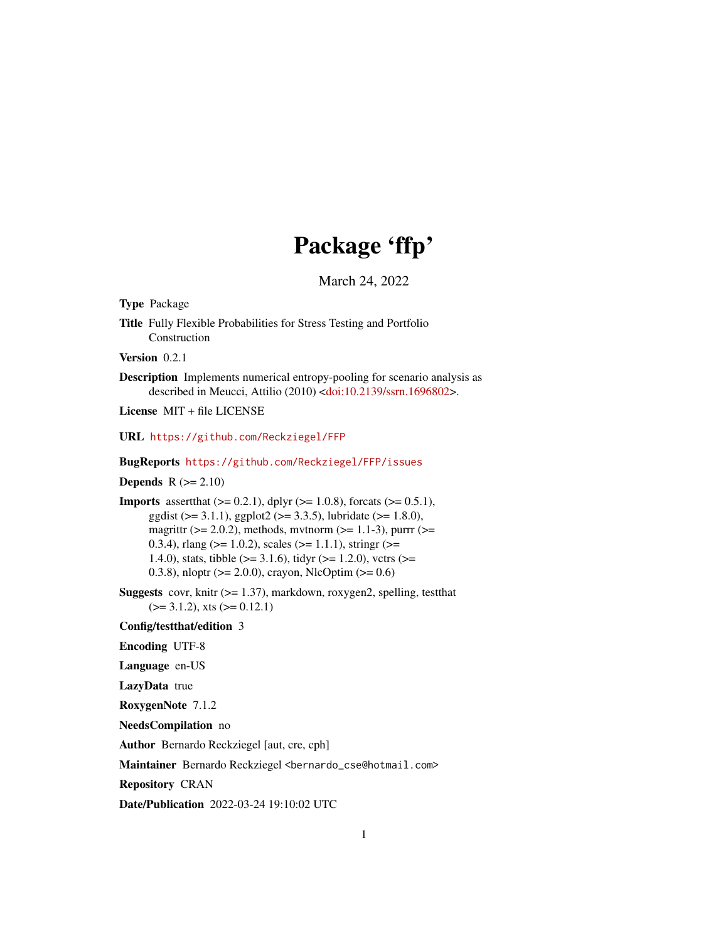# Package 'ffp'

March 24, 2022

<span id="page-0-0"></span>Type Package Title Fully Flexible Probabilities for Stress Testing and Portfolio Construction Version 0.2.1 Description Implements numerical entropy-pooling for scenario analysis as described in Meucci, Attilio (2010) [<doi:10.2139/ssrn.1696802>](https://doi.org/10.2139/ssrn.1696802). License MIT + file LICENSE URL <https://github.com/Reckziegel/FFP> BugReports <https://github.com/Reckziegel/FFP/issues> **Depends**  $R$  ( $>= 2.10$ ) **Imports** assert that  $(>= 0.2.1)$ , dplyr  $(>= 1.0.8)$ , forcats  $(>= 0.5.1)$ , ggdist ( $> = 3.1.1$ ), ggplot2 ( $> = 3.3.5$ ), lubridate ( $> = 1.8.0$ ), magrittr ( $>= 2.0.2$ ), methods, mvtnorm ( $>= 1.1-3$ ), purrr ( $>=$ 0.3.4), rlang ( $>= 1.0.2$ ), scales ( $>= 1.1.1$ ), stringr ( $>= 0.3.4$ ) 1.4.0), stats, tibble ( $>= 3.1.6$ ), tidyr ( $>= 1.2.0$ ), vctrs ( $>=$ 0.3.8), nloptr ( $>= 2.0.0$ ), crayon, NlcOptim ( $>= 0.6$ ) **Suggests** covr, knitr  $(>= 1.37)$ , markdown, roxygen2, spelling, test that  $(>= 3.1.2)$ , xts  $(>= 0.12.1)$ Config/testthat/edition 3 Encoding UTF-8 Language en-US LazyData true RoxygenNote 7.1.2 NeedsCompilation no

Author Bernardo Reckziegel [aut, cre, cph]

Maintainer Bernardo Reckziegel <bernardo\_cse@hotmail.com>

Repository CRAN

Date/Publication 2022-03-24 19:10:02 UTC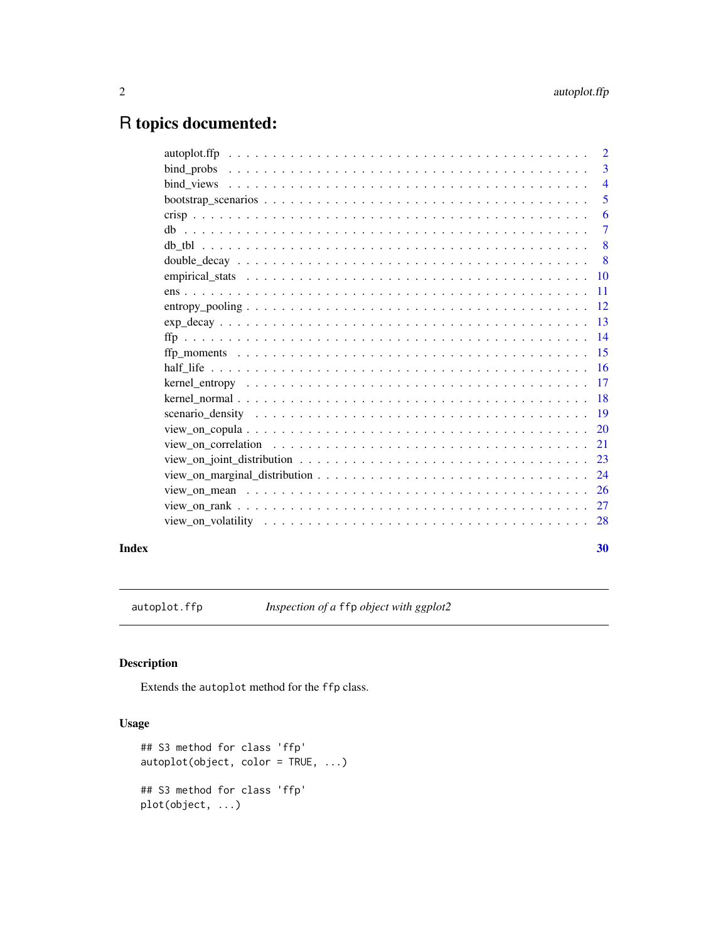## <span id="page-1-0"></span>R topics documented:

|       |                                                                                                           | $\overline{3}$             |
|-------|-----------------------------------------------------------------------------------------------------------|----------------------------|
|       |                                                                                                           |                            |
|       |                                                                                                           | $\overline{\phantom{0}}$ 5 |
|       |                                                                                                           | -6                         |
|       |                                                                                                           | $\overline{7}$             |
|       |                                                                                                           | - 8                        |
|       |                                                                                                           |                            |
|       |                                                                                                           |                            |
|       |                                                                                                           |                            |
|       |                                                                                                           |                            |
|       |                                                                                                           |                            |
|       |                                                                                                           |                            |
|       |                                                                                                           |                            |
|       |                                                                                                           |                            |
|       |                                                                                                           |                            |
|       |                                                                                                           |                            |
|       |                                                                                                           |                            |
|       |                                                                                                           |                            |
|       | view on correlation $\ldots \ldots \ldots \ldots \ldots \ldots \ldots \ldots \ldots \ldots \ldots \ldots$ |                            |
|       |                                                                                                           |                            |
|       |                                                                                                           |                            |
|       |                                                                                                           |                            |
|       |                                                                                                           |                            |
|       |                                                                                                           |                            |
| Index |                                                                                                           | 30                         |

autoplot.ffp *Inspection of a* ffp *object with ggplot2*

### Description

Extends the autoplot method for the ffp class.

```
## S3 method for class 'ffp'
autoplot(object, color = TRUE, ...)
## S3 method for class 'ffp'
plot(object, ...)
```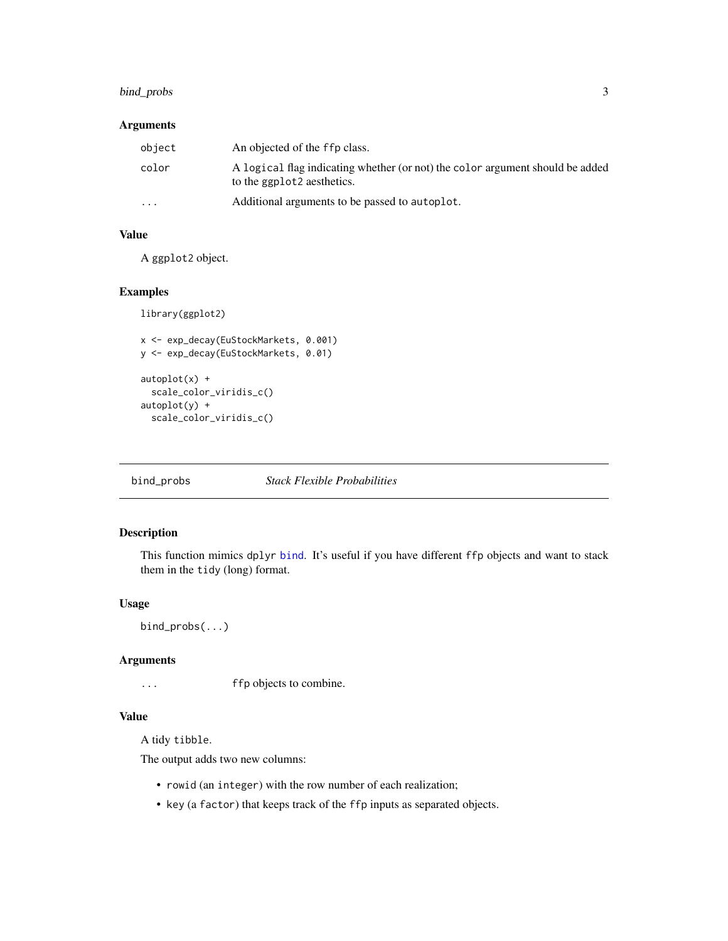#### <span id="page-2-0"></span>bind\_probs 3

#### Arguments

| object   | An objected of the ffp class.                                                                                           |
|----------|-------------------------------------------------------------------------------------------------------------------------|
| color    | A logical flag indicating whether (or not) the color argument should be added<br>to the ggplot <sub>2</sub> aesthetics. |
| $\cdots$ | Additional arguments to be passed to autoplot.                                                                          |

#### Value

A ggplot2 object.

#### Examples

```
library(ggplot2)
```

```
x <- exp_decay(EuStockMarkets, 0.001)
y <- exp_decay(EuStockMarkets, 0.01)
autoplot(x) +scale_color_viridis_c()
autoplot(y) +
  scale_color_viridis_c()
```
bind\_probs *Stack Flexible Probabilities*

#### Description

This function mimics dplyr [bind](#page-0-0). It's useful if you have different ffp objects and want to stack them in the tidy (long) format.

#### Usage

```
bind_probs(...)
```
#### Arguments

... ffp objects to combine.

#### Value

A tidy tibble.

The output adds two new columns:

- rowid (an integer) with the row number of each realization;
- key (a factor) that keeps track of the ffp inputs as separated objects.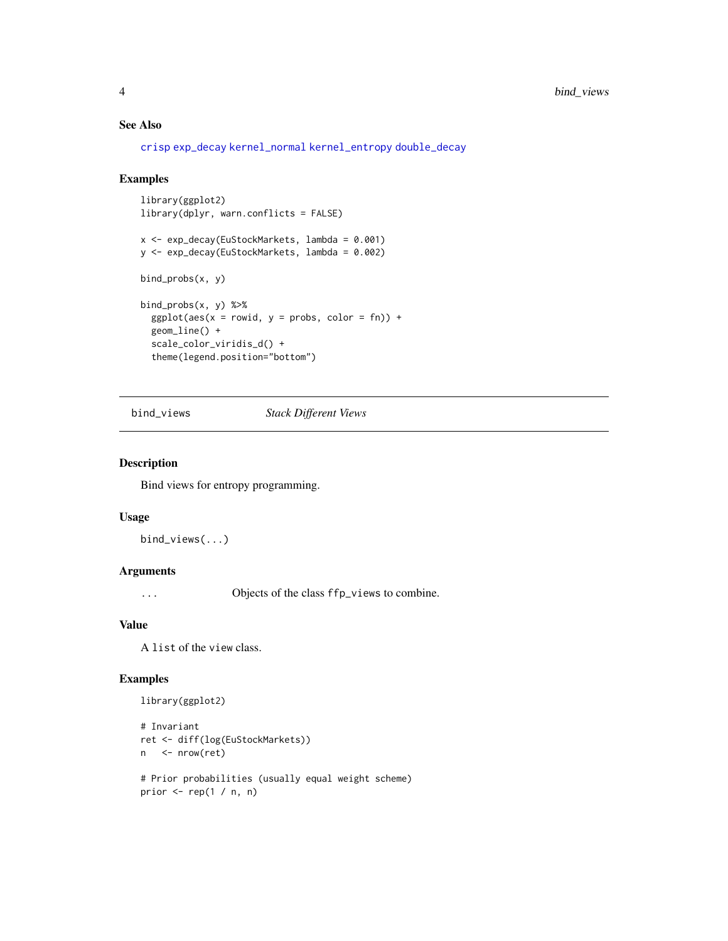#### See Also

[crisp](#page-5-1) [exp\\_decay](#page-12-1) [kernel\\_normal](#page-17-1) [kernel\\_entropy](#page-16-1) [double\\_decay](#page-7-1)

#### Examples

```
library(ggplot2)
library(dplyr, warn.conflicts = FALSE)
x <- exp_decay(EuStockMarkets, lambda = 0.001)
y <- exp_decay(EuStockMarkets, lambda = 0.002)
bind_probs(x, y)
bind_probs(x, y) %>%
  ggplot(aes(x = rowid, y = probs, color = fn)) +geom_line() +
  scale_color_viridis_d() +
  theme(legend.position="bottom")
```
bind\_views *Stack Different Views*

#### Description

Bind views for entropy programming.

#### Usage

bind\_views(...)

#### Arguments

... Objects of the class ffp\_views to combine.

#### Value

A list of the view class.

```
library(ggplot2)
```

```
# Invariant
ret <- diff(log(EuStockMarkets))
n <- nrow(ret)
```

```
# Prior probabilities (usually equal weight scheme)
prior \leq- rep(1 / n, n)
```
<span id="page-3-0"></span>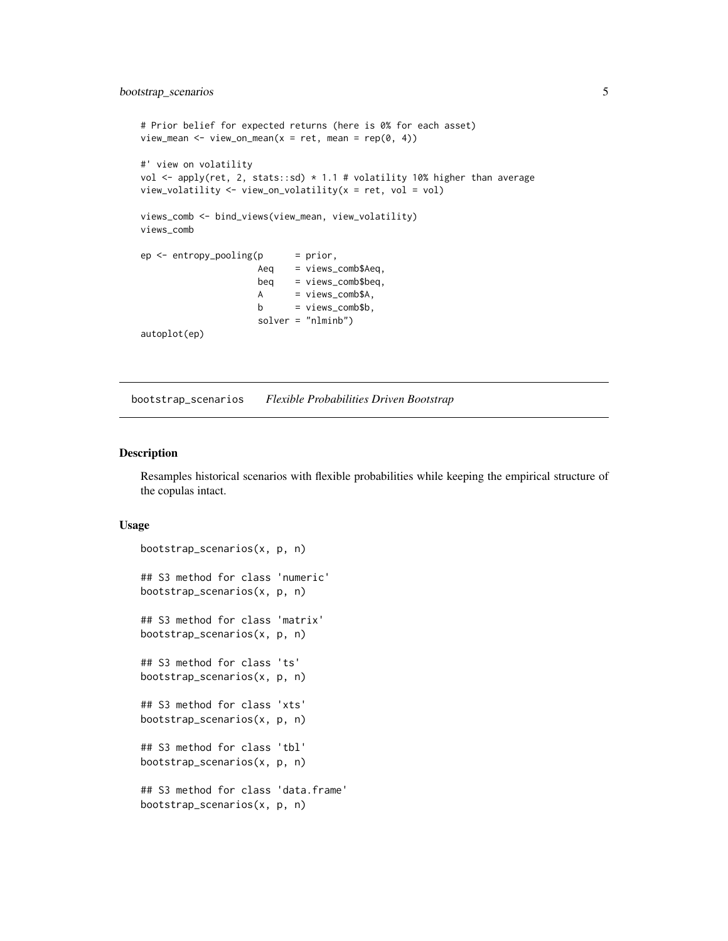```
# Prior belief for expected returns (here is 0% for each asset)
view_mean <- view_on_mean(x = ret, mean = rep(0, 4))
#' view on volatility
vol <- apply(ret, 2, stats::sd) * 1.1 # volatility 10% higher than average
view_volatility <- view_on_volatility(x = ret, vol = vol)
views_comb <- bind_views(view_mean, view_volatility)
views_comb
ep \leq -entropy\_pooling(p) = prior,
                      Aeq = views_comb$Aeq,
                      beq = views_comb$beq,
                      A = \text{views\_comb$A},
                      b = \text{views\_comb\$b},
                      solver = "nlminb")
autoplot(ep)
```
<span id="page-4-1"></span>bootstrap\_scenarios *Flexible Probabilities Driven Bootstrap*

#### Description

Resamples historical scenarios with flexible probabilities while keeping the empirical structure of the copulas intact.

```
bootstrap_scenarios(x, p, n)
## S3 method for class 'numeric'
bootstrap_scenarios(x, p, n)
## S3 method for class 'matrix'
bootstrap_scenarios(x, p, n)
## S3 method for class 'ts'
bootstrap_scenarios(x, p, n)
## S3 method for class 'xts'
bootstrap_scenarios(x, p, n)
## S3 method for class 'tbl'
bootstrap_scenarios(x, p, n)
## S3 method for class 'data.frame'
bootstrap_scenarios(x, p, n)
```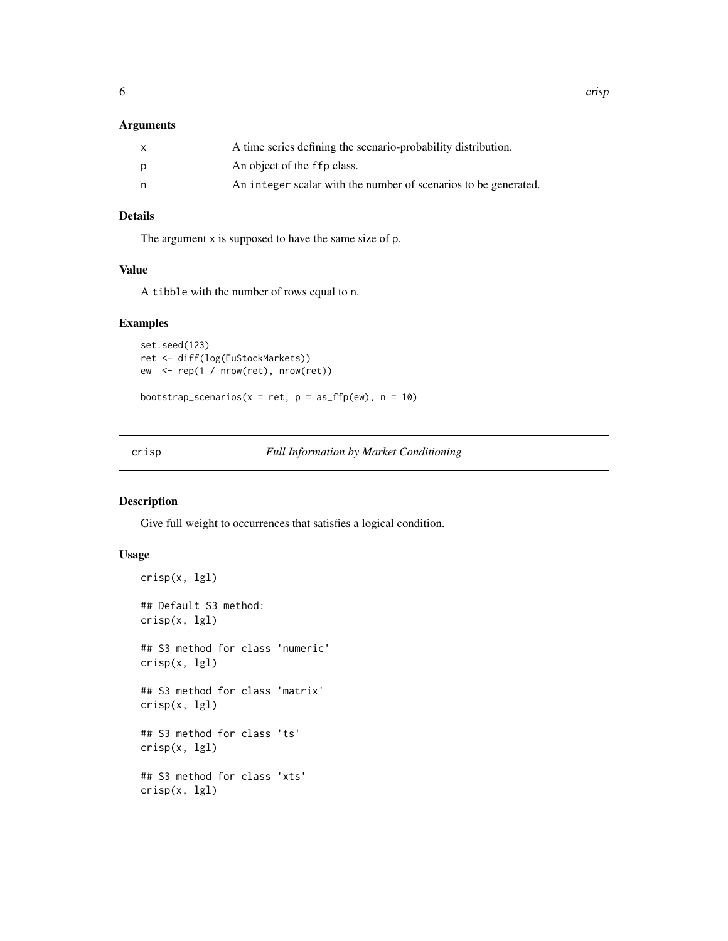<span id="page-5-0"></span>

| X | A time series defining the scenario-probability distribution.   |
|---|-----------------------------------------------------------------|
| p | An object of the ffp class.                                     |
| n | An integer scalar with the number of scenarios to be generated. |

#### Details

The argument x is supposed to have the same size of p.

#### Value

A tibble with the number of rows equal to n.

#### Examples

```
set.seed(123)
ret <- diff(log(EuStockMarkets))
ew <- rep(1 / nrow(ret), nrow(ret))
```
bootstrap\_scenarios( $x = ret$ ,  $p = as_{ffp}(ew)$ ,  $n = 10$ )

<span id="page-5-1"></span>crisp *Full Information by Market Conditioning*

#### Description

Give full weight to occurrences that satisfies a logical condition.

```
crisp(x, lgl)
## Default S3 method:
crisp(x, lgl)
## S3 method for class 'numeric'
crisp(x, lgl)
## S3 method for class 'matrix'
crisp(x, lgl)
## S3 method for class 'ts'
crisp(x, lgl)
## S3 method for class 'xts'
crisp(x, lgl)
```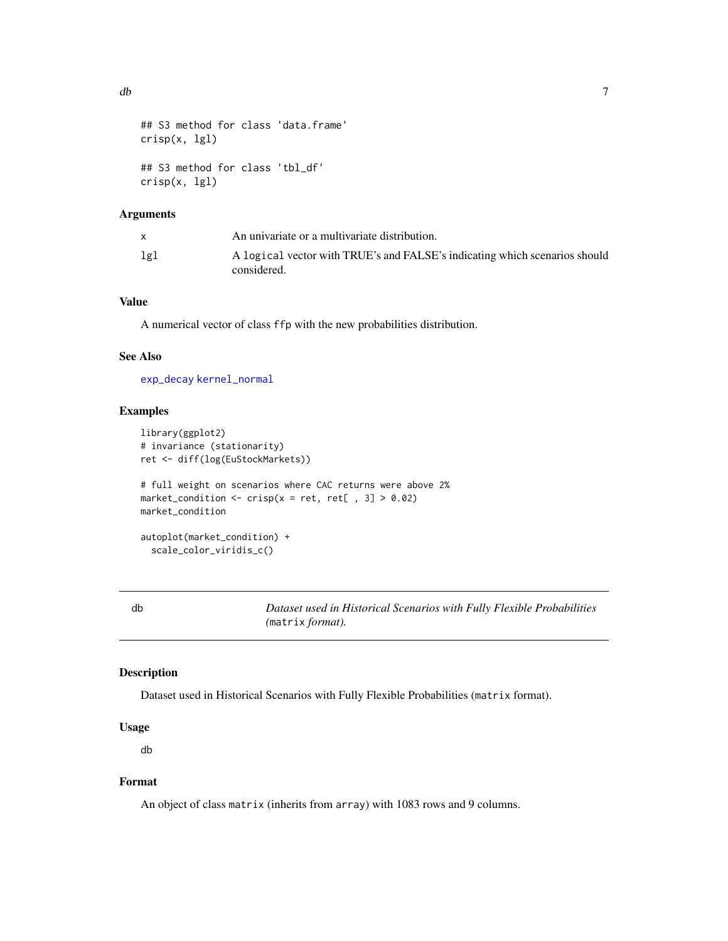```
## S3 method for class 'data.frame'
crisp(x, lgl)
## S3 method for class 'tbl_df'
crisp(x, lgl)
```

|     | An univariate or a multivariate distribution.                                             |
|-----|-------------------------------------------------------------------------------------------|
| lgl | A logical vector with TRUE's and FALSE's indicating which scenarios should<br>considered. |

#### Value

A numerical vector of class ffp with the new probabilities distribution.

#### See Also

[exp\\_decay](#page-12-1) [kernel\\_normal](#page-17-1)

#### Examples

```
library(ggplot2)
# invariance (stationarity)
ret <- diff(log(EuStockMarkets))
# full weight on scenarios where CAC returns were above 2%
market_condition <- crisp(x = ret, ret[, 3] > 0.02)
market_condition
autoplot(market_condition) +
  scale_color_viridis_c()
```
<span id="page-6-1"></span>

db *Dataset used in Historical Scenarios with Fully Flexible Probabilities (*matrix *format).*

#### Description

Dataset used in Historical Scenarios with Fully Flexible Probabilities (matrix format).

#### Usage

db

### Format

An object of class matrix (inherits from array) with 1083 rows and 9 columns.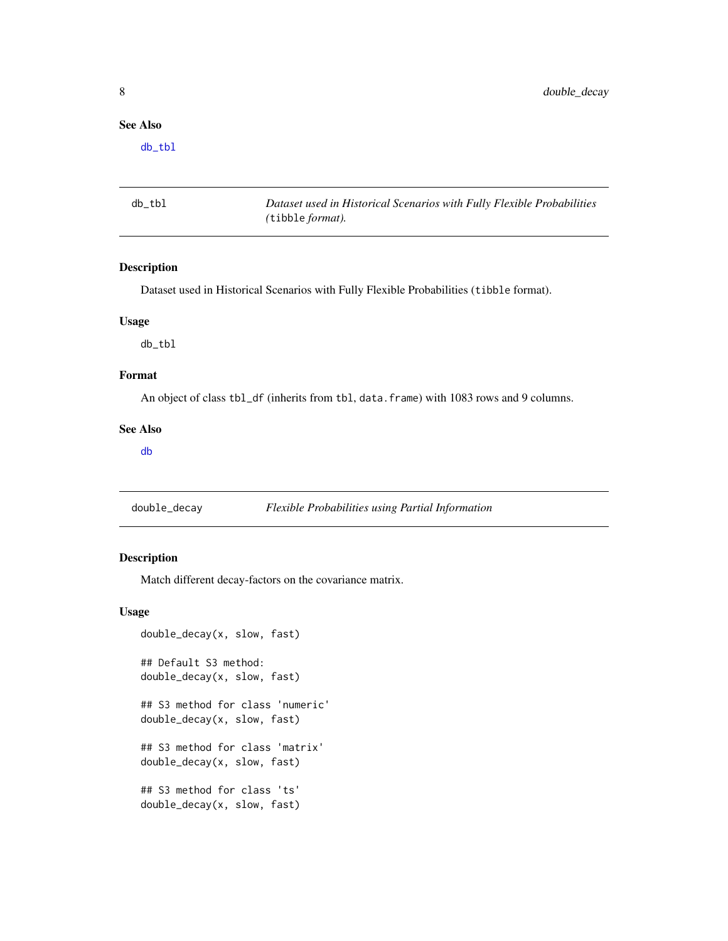#### <span id="page-7-0"></span>See Also

[db\\_tbl](#page-7-2)

<span id="page-7-2"></span>db\_tbl *Dataset used in Historical Scenarios with Fully Flexible Probabilities (*tibble *format).*

#### Description

Dataset used in Historical Scenarios with Fully Flexible Probabilities (tibble format).

### Usage

db\_tbl

#### Format

An object of class tbl\_df (inherits from tbl, data.frame) with 1083 rows and 9 columns.

#### See Also

[db](#page-6-1)

<span id="page-7-1"></span>double\_decay *Flexible Probabilities using Partial Information*

#### Description

Match different decay-factors on the covariance matrix.

```
double_decay(x, slow, fast)
## Default S3 method:
double_decay(x, slow, fast)
## S3 method for class 'numeric'
double_decay(x, slow, fast)
## S3 method for class 'matrix'
double_decay(x, slow, fast)
## S3 method for class 'ts'
double_decay(x, slow, fast)
```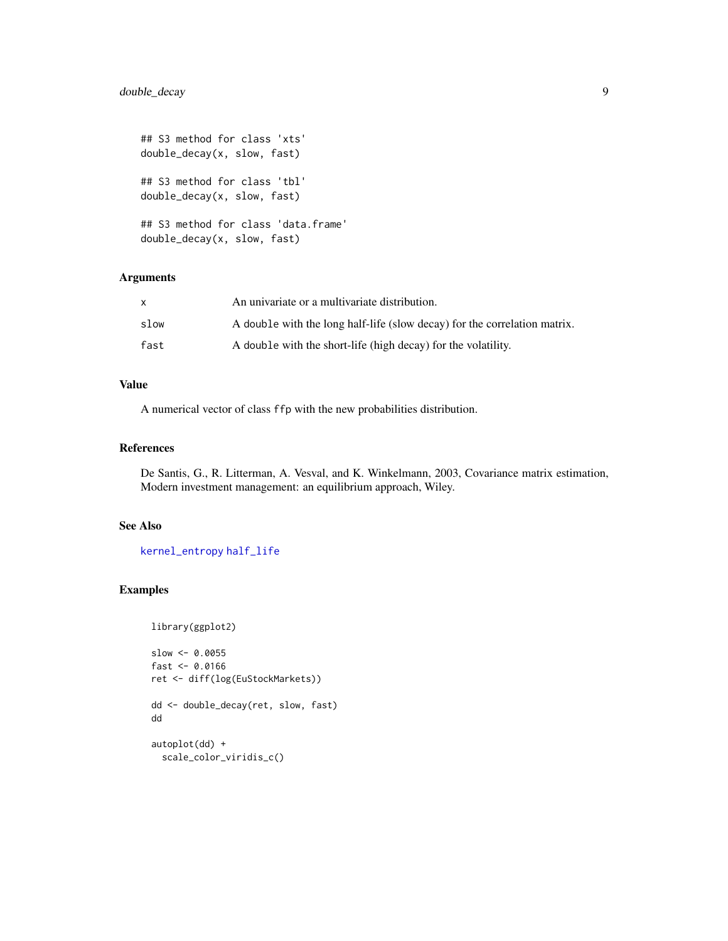```
## S3 method for class 'xts'
double_decay(x, slow, fast)
## S3 method for class 'tbl'
double_decay(x, slow, fast)
## S3 method for class 'data.frame'
double_decay(x, slow, fast)
```

| X    | An univariate or a multivariate distribution.                             |
|------|---------------------------------------------------------------------------|
| slow | A double with the long half-life (slow decay) for the correlation matrix. |
| fast | A double with the short-life (high decay) for the volatility.             |

#### Value

A numerical vector of class ffp with the new probabilities distribution.

#### References

De Santis, G., R. Litterman, A. Vesval, and K. Winkelmann, 2003, Covariance matrix estimation, Modern investment management: an equilibrium approach, Wiley.

#### See Also

[kernel\\_entropy](#page-16-1) [half\\_life](#page-15-1)

```
library(ggplot2)
```

```
slow <- 0.0055
fast <-0.0166ret <- diff(log(EuStockMarkets))
dd <- double_decay(ret, slow, fast)
dd
autoplot(dd) +
  scale_color_viridis_c()
```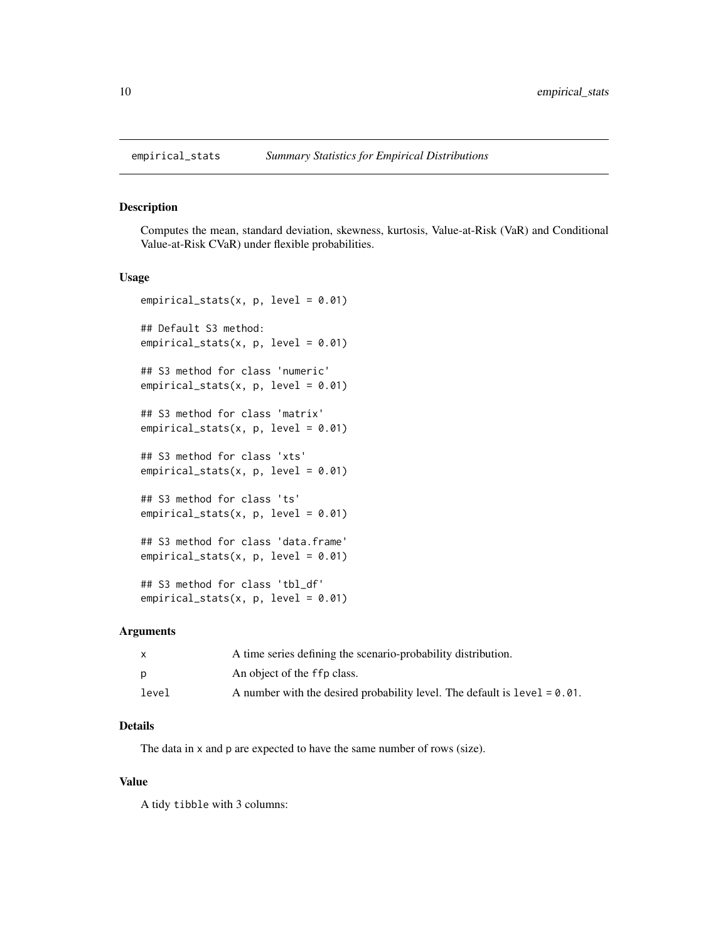<span id="page-9-0"></span>

#### Description

Computes the mean, standard deviation, skewness, kurtosis, Value-at-Risk (VaR) and Conditional Value-at-Risk CVaR) under flexible probabilities.

#### Usage

```
empirical_stats(x, p, level = 0.01)
## Default S3 method:
empirical_stats(x, p, level = 0.01)
## S3 method for class 'numeric'
empirical_stats(x, p, level = 0.01)
## S3 method for class 'matrix'
empirical_stats(x, p, level = 0.01)
## S3 method for class 'xts'
empirical_stats(x, p, level = 0.01)
## S3 method for class 'ts'
empirical_stats(x, p, level = 0.01)
## S3 method for class 'data.frame'
empirical_stats(x, p, level = 0.01)
## S3 method for class 'tbl_df'
empirical_stats(x, p, level = 0.01)
```
#### Arguments

| X     | A time series defining the scenario-probability distribution.                |
|-------|------------------------------------------------------------------------------|
| D     | An object of the ffp class.                                                  |
| level | A number with the desired probability level. The default is $level = 0.01$ . |

#### Details

The data in x and p are expected to have the same number of rows (size).

#### Value

A tidy tibble with 3 columns: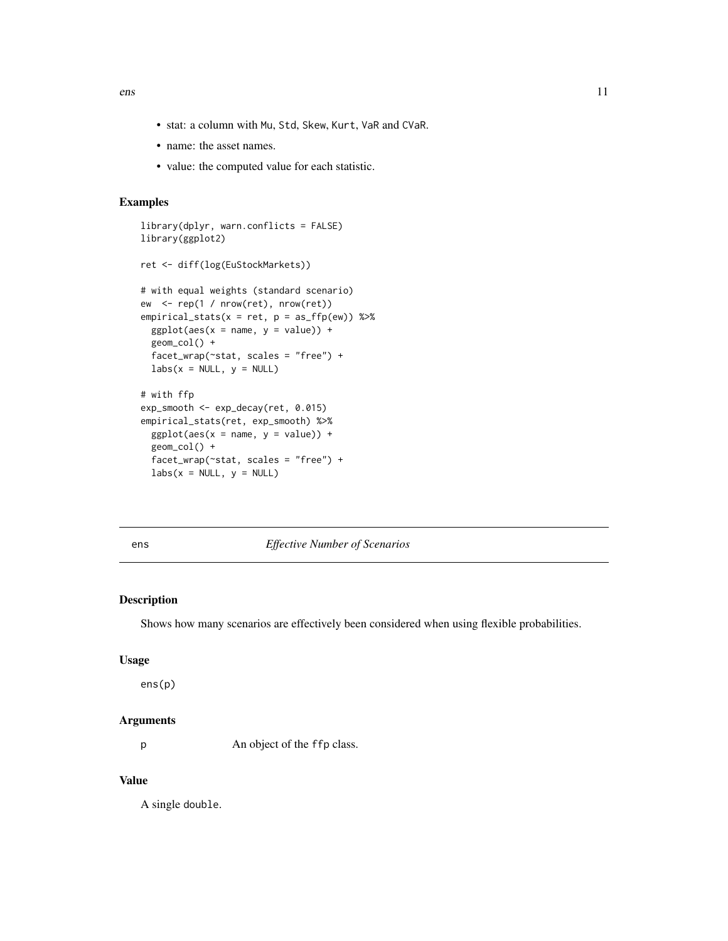<span id="page-10-0"></span>ens and the sense of the sense of the sense of the sense of the sense of the sense of the sense of the sense of the sense of the sense of the sense of the sense of the sense of the sense of the sense of the sense of the se

- stat: a column with Mu, Std, Skew, Kurt, VaR and CVaR.
- name: the asset names.
- value: the computed value for each statistic.

#### Examples

```
library(dplyr, warn.conflicts = FALSE)
library(ggplot2)
ret <- diff(log(EuStockMarkets))
# with equal weights (standard scenario)
ew <- rep(1 / nrow(ret), nrow(ret))
empirical_stats(x = ret, p = as_{ffp}(ew)) %>%
  ggplot(aes(x = name, y = value)) +geom_col() +
  facet_wrap(~stat, scales = "free") +
  labs(x = NULL, y = NULL)# with ffp
exp_smooth <- exp_decay(ret, 0.015)
empirical_stats(ret, exp_smooth) %>%
  ggplot(aes(x = name, y = value)) +geom_col() +
  facet_wrap(~stat, scales = "free") +
  \text{labels}(x = \text{NULL}, y = \text{NULL})
```
ens *Effective Number of Scenarios*

#### Description

Shows how many scenarios are effectively been considered when using flexible probabilities.

#### Usage

ens(p)

#### Arguments

p An object of the ffp class.

#### Value

A single double.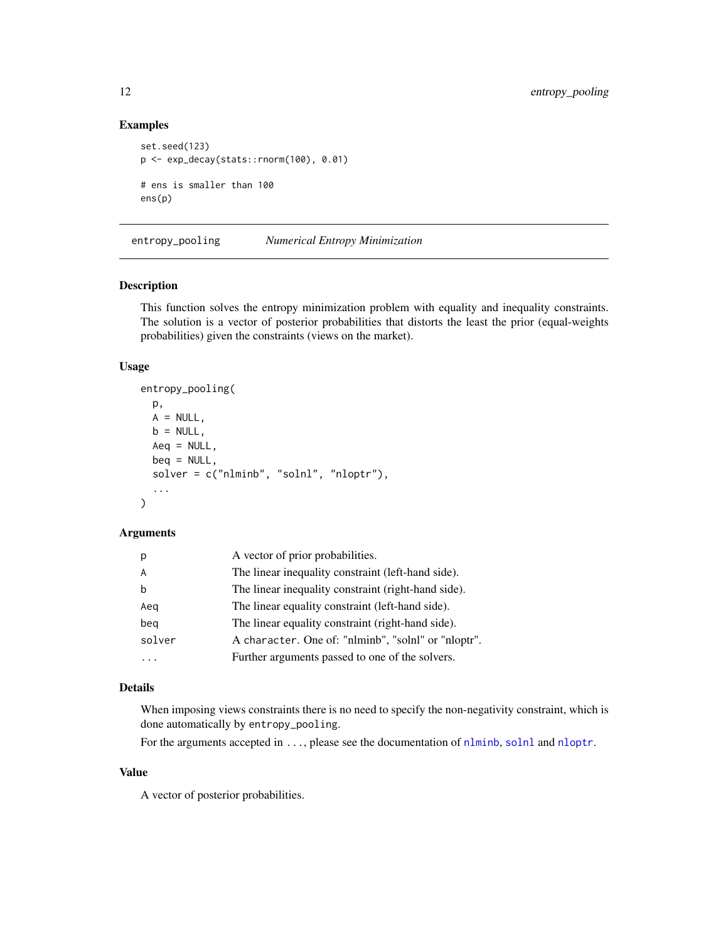#### Examples

```
set.seed(123)
p <- exp_decay(stats::rnorm(100), 0.01)
# ens is smaller than 100
ens(p)
```
entropy\_pooling *Numerical Entropy Minimization*

#### Description

This function solves the entropy minimization problem with equality and inequality constraints. The solution is a vector of posterior probabilities that distorts the least the prior (equal-weights probabilities) given the constraints (views on the market).

#### Usage

```
entropy_pooling(
 p,
 A = NULL,b = NULL,Aeg = NULL,
 beq = NULL,solver = c("nlminb", "solnl", "nloptr"),
  ...
)
```
#### Arguments

| p      | A vector of prior probabilities.                    |
|--------|-----------------------------------------------------|
| A      | The linear inequality constraint (left-hand side).  |
| b      | The linear inequality constraint (right-hand side). |
| Aeq    | The linear equality constraint (left-hand side).    |
| beq    | The linear equality constraint (right-hand side).   |
| solver | A character. One of: "nlminb", "solnl" or "nloptr". |
|        | Further arguments passed to one of the solvers.     |

#### Details

When imposing views constraints there is no need to specify the non-negativity constraint, which is done automatically by entropy\_pooling.

For the arguments accepted in . . . , please see the documentation of [nlminb](#page-0-0), [solnl](#page-0-0) and [nloptr](#page-0-0).

#### Value

A vector of posterior probabilities.

<span id="page-11-0"></span>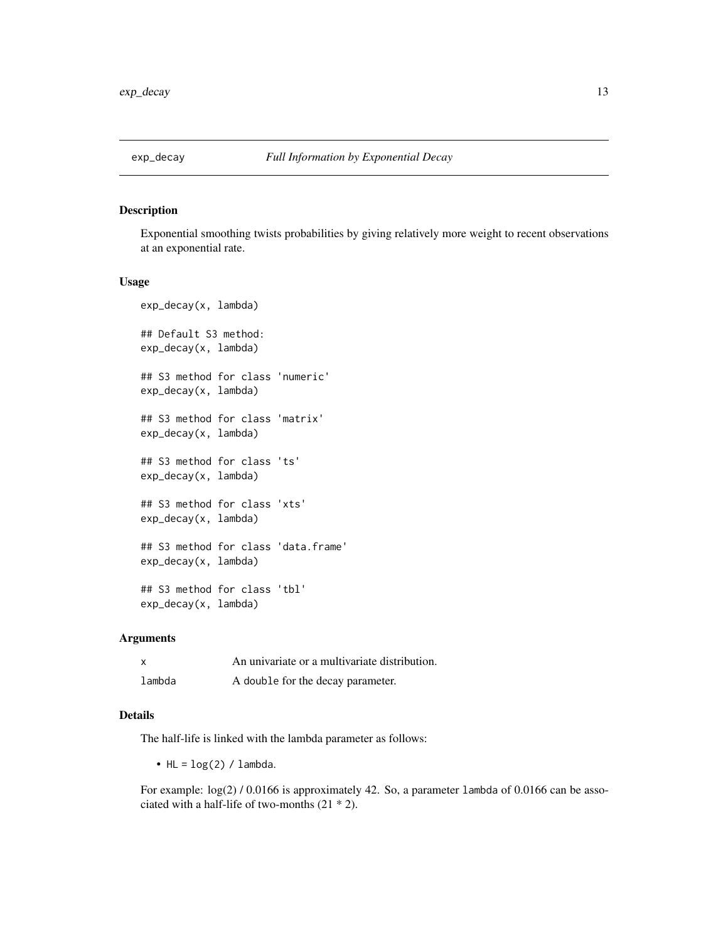<span id="page-12-1"></span><span id="page-12-0"></span>

#### Description

Exponential smoothing twists probabilities by giving relatively more weight to recent observations at an exponential rate.

#### Usage

```
exp_decay(x, lambda)
## Default S3 method:
exp_decay(x, lambda)
## S3 method for class 'numeric'
exp_decay(x, lambda)
## S3 method for class 'matrix'
exp_decay(x, lambda)
## S3 method for class 'ts'
exp_decay(x, lambda)
## S3 method for class 'xts'
exp_decay(x, lambda)
## S3 method for class 'data.frame'
exp_decay(x, lambda)
## S3 method for class 'tbl'
exp_decay(x, lambda)
```
#### Arguments

| $\boldsymbol{\mathsf{x}}$ | An univariate or a multivariate distribution. |
|---------------------------|-----------------------------------------------|
| lambda                    | A double for the decay parameter.             |

#### Details

The half-life is linked with the lambda parameter as follows:

• HL =  $log(2)$  / lambda.

For example:  $log(2)$  / 0.0166 is approximately 42. So, a parameter lambda of 0.0166 can be associated with a half-life of two-months (21 \* 2).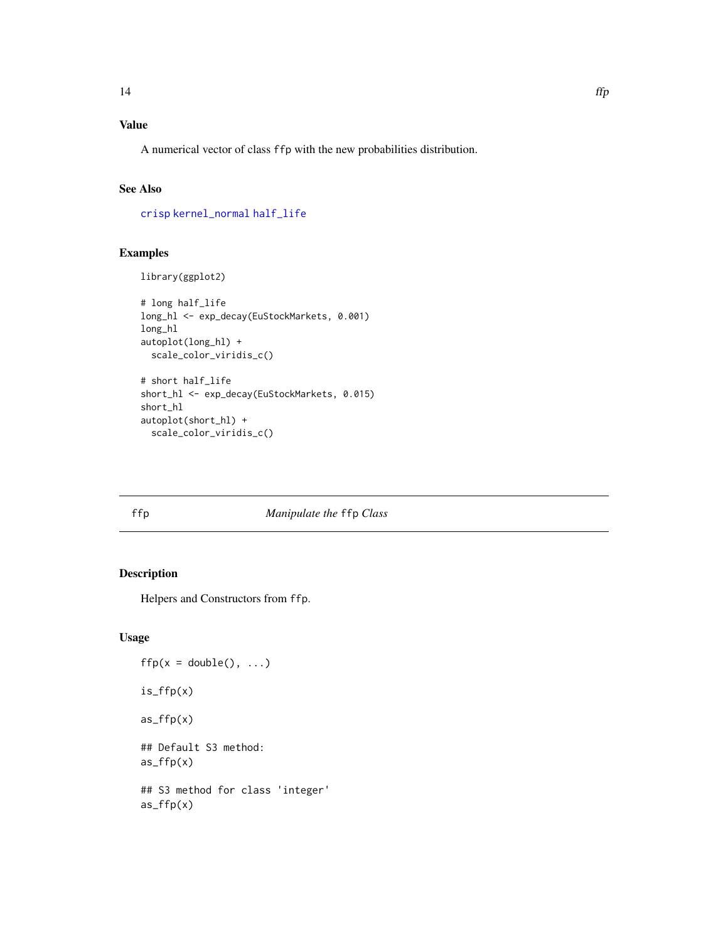## <span id="page-13-0"></span>Value

A numerical vector of class ffp with the new probabilities distribution.

#### See Also

[crisp](#page-5-1) [kernel\\_normal](#page-17-1) [half\\_life](#page-15-1)

#### Examples

```
library(ggplot2)
```

```
# long half_life
long_hl <- exp_decay(EuStockMarkets, 0.001)
long_hl
autoplot(long_hl) +
  scale_color_viridis_c()
# short half_life
short_hl <- exp_decay(EuStockMarkets, 0.015)
short_hl
autoplot(short_hl) +
  scale_color_viridis_c()
```
#### ffp *Manipulate the* ffp *Class*

#### Description

Helpers and Constructors from ffp.

```
ffp(x = double(), ...)is_ffp(x)
as_ffp(x)
## Default S3 method:
as_ffp(x)## S3 method for class 'integer'
as_ffp(x)
```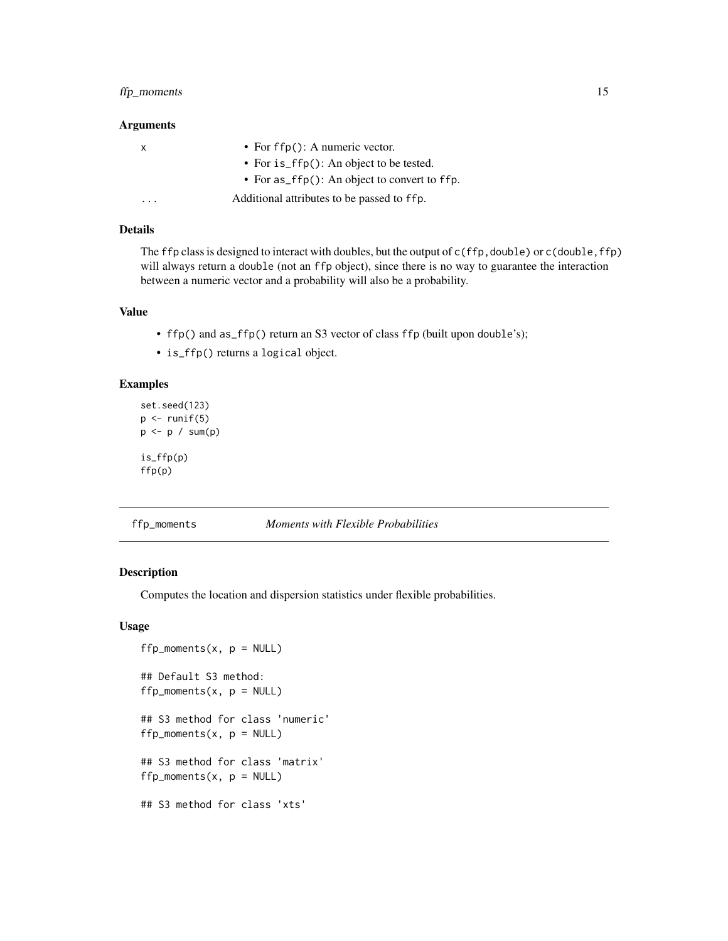#### <span id="page-14-0"></span>ffp\_moments 15

#### Arguments

| x       | • For $f(p)$ : A numeric vector.                |
|---------|-------------------------------------------------|
|         | • For $is_ffp()$ : An object to be tested.      |
|         | • For $as_ffp()$ : An object to convert to ffp. |
| $\cdot$ | Additional attributes to be passed to ffp.      |

#### Details

The ffp class is designed to interact with doubles, but the output of  $c(ffp, double)$  or  $c(double, ffp)$ will always return a double (not an ffp object), since there is no way to guarantee the interaction between a numeric vector and a probability will also be a probability.

#### Value

- ffp() and as\_ffp() return an S3 vector of class ffp (built upon double's);
- is\_ffp() returns a logical object.

#### Examples

```
set.seed(123)
p \leftarrow runif(5)p <- p / sum(p)
is_ffp(p)
ffp(p)
```
#### ffp\_moments *Moments with Flexible Probabilities*

#### Description

Computes the location and dispersion statistics under flexible probabilities.

```
ffp_moments(x, p = NULL)## Default S3 method:
ffp_moments(x, p = NULL)## S3 method for class 'numeric'
ffp_moments(x, p = NULL)
## S3 method for class 'matrix'
ffp_moments(x, p = NULL)## S3 method for class 'xts'
```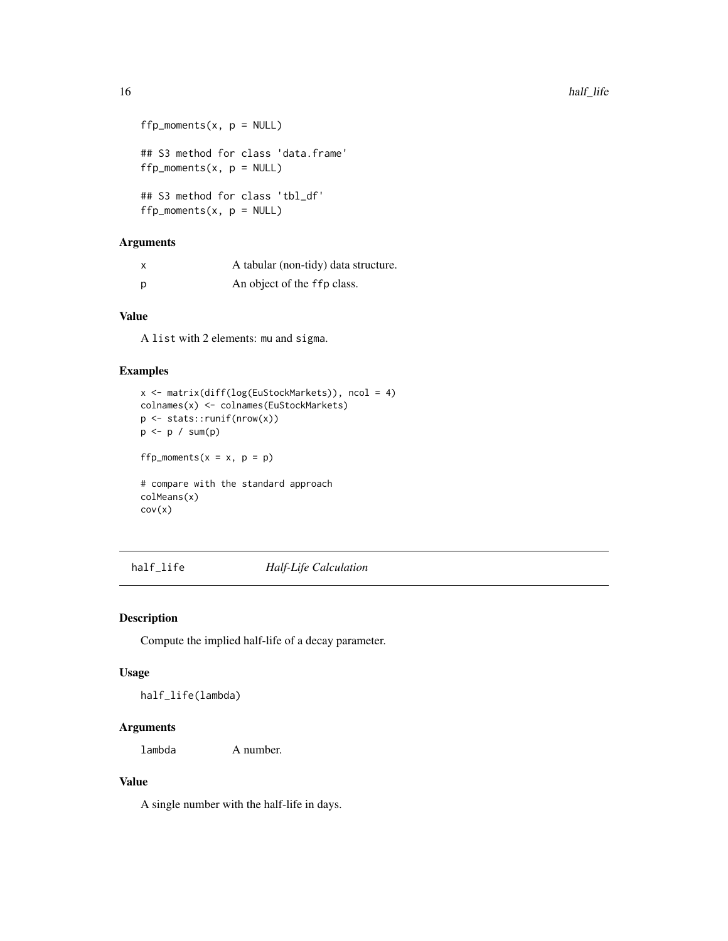```
ffp_moments(x, p = NULL)## S3 method for class 'data.frame'
ffp_moments(x, p = NULL)## S3 method for class 'tbl_df'
ffp_moments(x, p = NULL)
```

|     | A tabular (non-tidy) data structure. |
|-----|--------------------------------------|
| - p | An object of the ffp class.          |

#### Value

A list with 2 elements: mu and sigma.

#### Examples

```
x <- matrix(diff(log(EuStockMarkets)), ncol = 4)
colnames(x) <- colnames(EuStockMarkets)
p <- stats::runif(nrow(x))
p <- p / sum(p)
ffp_moments(x = x, p = p)
```
# compare with the standard approach colMeans(x) cov(x)

<span id="page-15-1"></span>half\_life *Half-Life Calculation*

#### Description

Compute the implied half-life of a decay parameter.

#### Usage

half\_life(lambda)

#### Arguments

lambda A number.

#### Value

A single number with the half-life in days.

<span id="page-15-0"></span>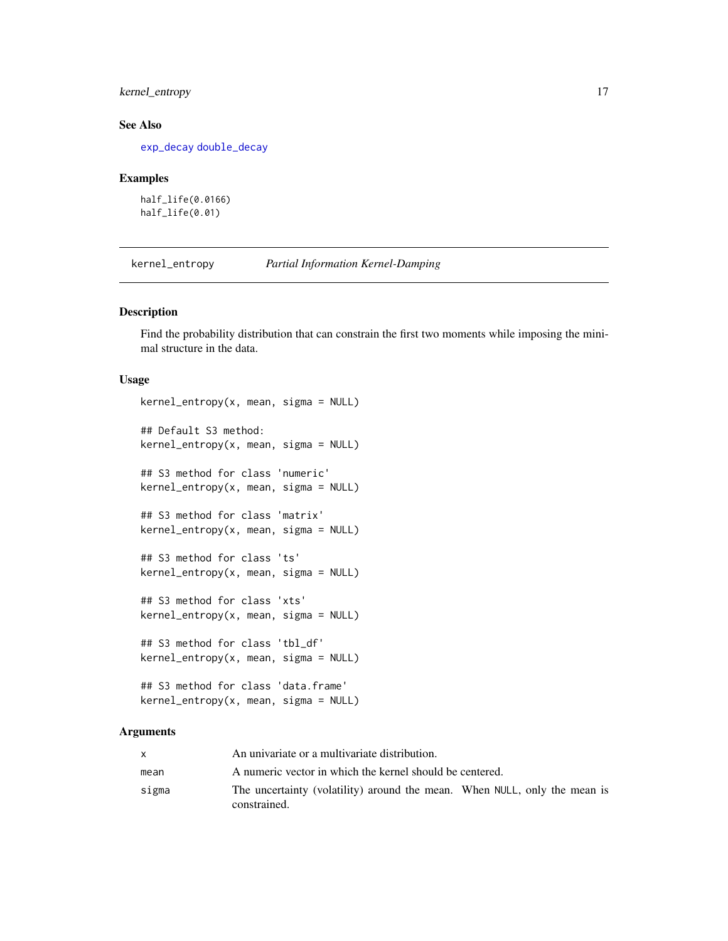#### <span id="page-16-0"></span>kernel\_entropy 17

#### See Also

[exp\\_decay](#page-12-1) [double\\_decay](#page-7-1)

#### Examples

half\_life(0.0166) half\_life(0.01)

<span id="page-16-1"></span>kernel\_entropy *Partial Information Kernel-Damping*

#### Description

Find the probability distribution that can constrain the first two moments while imposing the minimal structure in the data.

#### Usage

```
kernel_entropy(x, mean, sigma = NULL)
## Default S3 method:
kernel_entropy(x, mean, sigma = NULL)
## S3 method for class 'numeric'
kernel_entropy(x, mean, sigma = NULL)
## S3 method for class 'matrix'
kernel_entropy(x, mean, sigma = NULL)
## S3 method for class 'ts'
kernel_entropy(x, mean, sigma = NULL)
## S3 method for class 'xts'
kernel_entropy(x, mean, sigma = NULL)
## S3 method for class 'tbl_df'
kernel\_entropy(x, mean, sigma = NULL)## S3 method for class 'data.frame'
kernel_entropy(x, mean, sigma = NULL)
```
#### Arguments

|       | An univariate or a multivariate distribution.                                             |
|-------|-------------------------------------------------------------------------------------------|
| mean  | A numeric vector in which the kernel should be centered.                                  |
| sigma | The uncertainty (volatility) around the mean. When NULL, only the mean is<br>constrained. |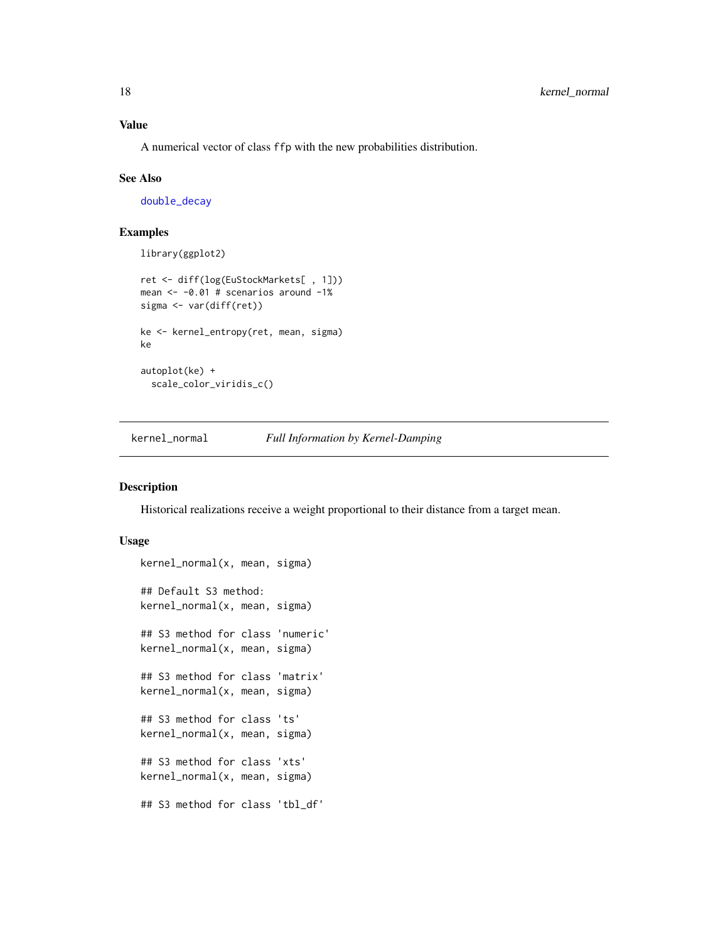#### <span id="page-17-0"></span>Value

A numerical vector of class ffp with the new probabilities distribution.

#### See Also

[double\\_decay](#page-7-1)

#### Examples

```
library(ggplot2)
```

```
ret <- diff(log(EuStockMarkets[ , 1]))
mean <- -0.01 # scenarios around -1%
sigma <- var(diff(ret))
ke <- kernel_entropy(ret, mean, sigma)
ke
autoplot(ke) +
  scale_color_viridis_c()
```
<span id="page-17-1"></span>kernel\_normal *Full Information by Kernel-Damping*

#### Description

Historical realizations receive a weight proportional to their distance from a target mean.

```
kernel_normal(x, mean, sigma)
## Default S3 method:
kernel_normal(x, mean, sigma)
## S3 method for class 'numeric'
kernel_normal(x, mean, sigma)
## S3 method for class 'matrix'
kernel_normal(x, mean, sigma)
## S3 method for class 'ts'
kernel_normal(x, mean, sigma)
## S3 method for class 'xts'
kernel_normal(x, mean, sigma)
## S3 method for class 'tbl_df'
```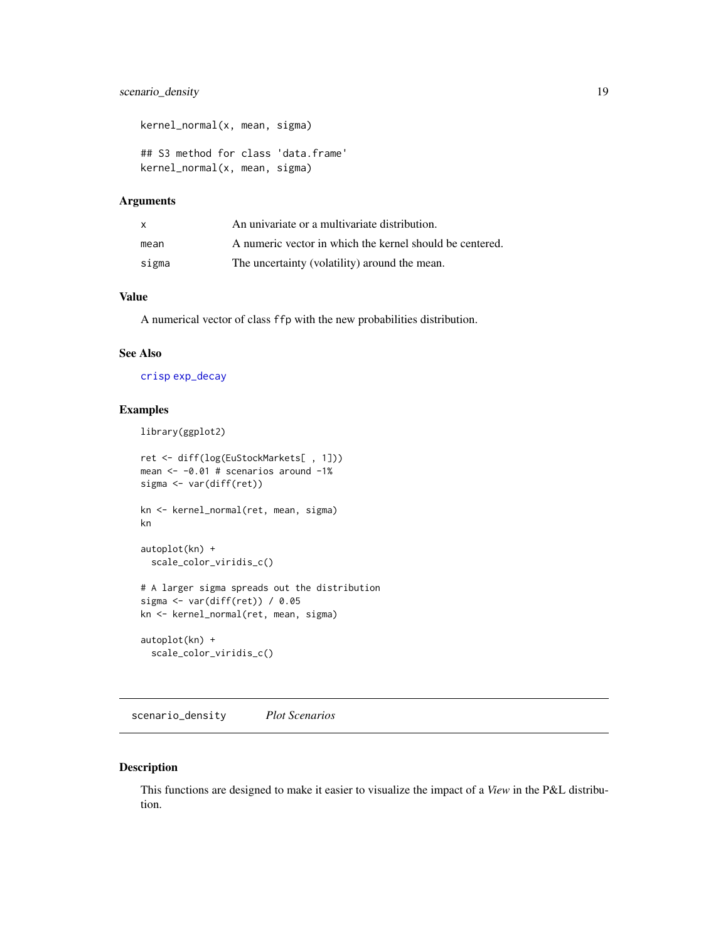#### <span id="page-18-0"></span>scenario\_density 19

```
kernel_normal(x, mean, sigma)
## S3 method for class 'data.frame'
kernel_normal(x, mean, sigma)
```
#### Arguments

| $\mathsf{x}$ | An univariate or a multivariate distribution.            |
|--------------|----------------------------------------------------------|
| mean         | A numeric vector in which the kernel should be centered. |
| sigma        | The uncertainty (volatility) around the mean.            |

#### Value

A numerical vector of class ffp with the new probabilities distribution.

#### See Also

[crisp](#page-5-1) [exp\\_decay](#page-12-1)

#### Examples

library(ggplot2)

```
ret <- diff(log(EuStockMarkets[ , 1]))
mean <- -0.01 # scenarios around -1%
sigma <- var(diff(ret))
kn <- kernel_normal(ret, mean, sigma)
kn
autoplot(kn) +
  scale_color_viridis_c()
# A larger sigma spreads out the distribution
sigma <- var(diff(ret)) / 0.05
kn <- kernel_normal(ret, mean, sigma)
autoplot(kn) +
  scale_color_viridis_c()
```
scenario\_density *Plot Scenarios*

#### Description

This functions are designed to make it easier to visualize the impact of a *View* in the P&L distribution.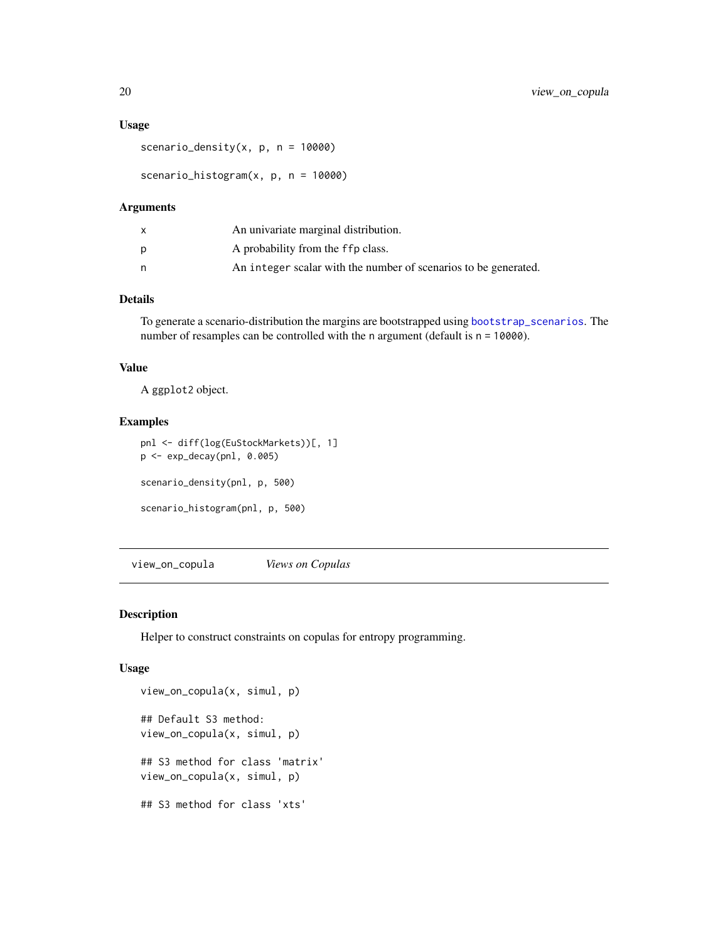#### <span id="page-19-0"></span>Usage

scenario\_density $(x, p, n = 10000)$ 

scenario\_histogram(x, p, n = 10000)

#### Arguments

|   | An univariate marginal distribution.                            |
|---|-----------------------------------------------------------------|
| D | A probability from the ffp class.                               |
| n | An integer scalar with the number of scenarios to be generated. |

#### Details

To generate a scenario-distribution the margins are bootstrapped using [bootstrap\\_scenarios](#page-4-1). The number of resamples can be controlled with the n argument (default is  $n = 10000$ ).

#### Value

A ggplot2 object.

#### Examples

```
pnl <- diff(log(EuStockMarkets))[, 1]
p <- exp_decay(pnl, 0.005)
scenario_density(pnl, p, 500)
scenario_histogram(pnl, p, 500)
```
view\_on\_copula *Views on Copulas*

#### Description

Helper to construct constraints on copulas for entropy programming.

```
view_on_copula(x, simul, p)
## Default S3 method:
view_on_copula(x, simul, p)
## S3 method for class 'matrix'
view_on_copula(x, simul, p)
## S3 method for class 'xts'
```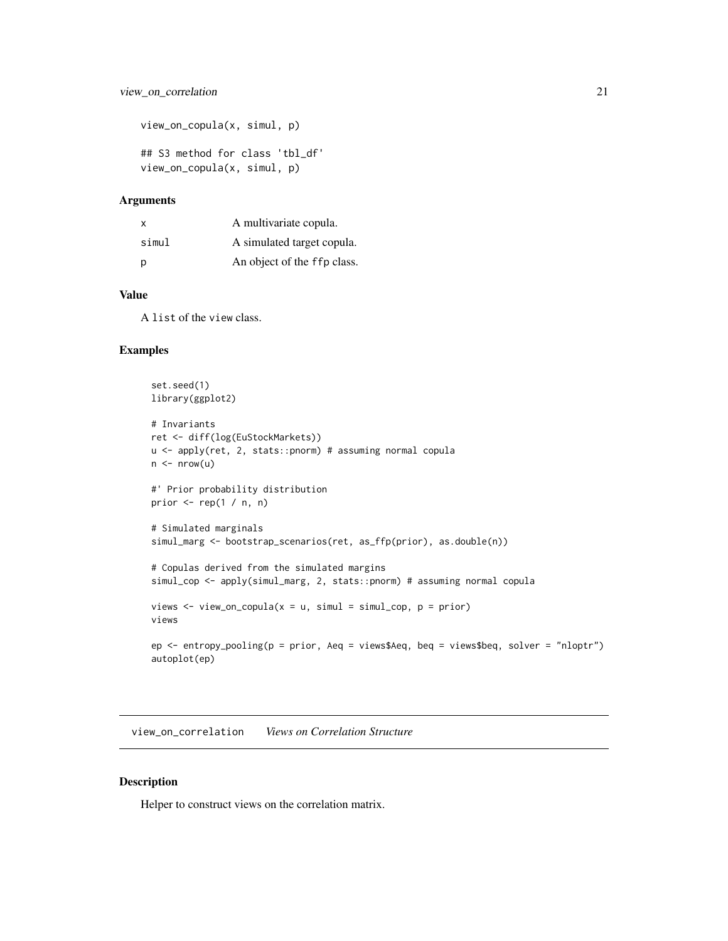```
view_on_copula(x, simul, p)
## S3 method for class 'tbl_df'
view_on_copula(x, simul, p)
```

| $\times$ | A multivariate copula.      |
|----------|-----------------------------|
| simul    | A simulated target copula.  |
| p        | An object of the ffp class. |

#### Value

A list of the view class.

#### Examples

```
set.seed(1)
library(ggplot2)
# Invariants
ret <- diff(log(EuStockMarkets))
u <- apply(ret, 2, stats::pnorm) # assuming normal copula
n \leq -nrow(u)#' Prior probability distribution
prior \leq rep(1 / n, n)
# Simulated marginals
simul_marg <- bootstrap_scenarios(ret, as_ffp(prior), as.double(n))
# Copulas derived from the simulated margins
simul_cop <- apply(simul_marg, 2, stats::pnorm) # assuming normal copula
views \le view_on_copula(x = u, simul = simul_cop, p = prior)
views
ep <- entropy_pooling(p = prior, Aeq = views$Aeq, beq = views$beq, solver = "nloptr")
autoplot(ep)
```
view\_on\_correlation *Views on Correlation Structure*

#### Description

Helper to construct views on the correlation matrix.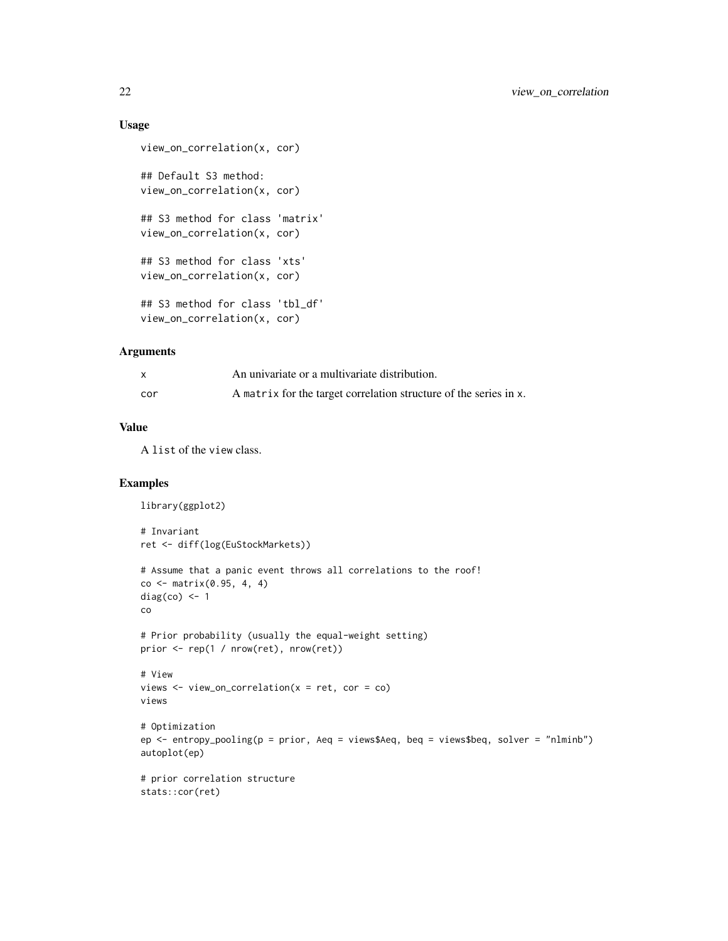#### Usage

```
view_on_correlation(x, cor)
## Default S3 method:
view_on_correlation(x, cor)
## S3 method for class 'matrix'
view_on_correlation(x, cor)
## S3 method for class 'xts'
view_on_correlation(x, cor)
## S3 method for class 'tbl_df'
view_on_correlation(x, cor)
```
#### Arguments

|     | An univariate or a multivariate distribution.                     |
|-----|-------------------------------------------------------------------|
| cor | A matrix for the target correlation structure of the series in x. |

#### Value

A list of the view class.

```
library(ggplot2)
# Invariant
ret <- diff(log(EuStockMarkets))
# Assume that a panic event throws all correlations to the roof!
co \le matrix(0.95, 4, 4)
diag(co) <- 1
co
# Prior probability (usually the equal-weight setting)
prior <- rep(1 / nrow(ret), nrow(ret))
# View
views <- view_on_correlation(x = ret, cor = co)
views
# Optimization
ep <- entropy_pooling(p = prior, Aeq = views$Aeq, beq = views$beq, solver = "nlminb")
autoplot(ep)
# prior correlation structure
stats::cor(ret)
```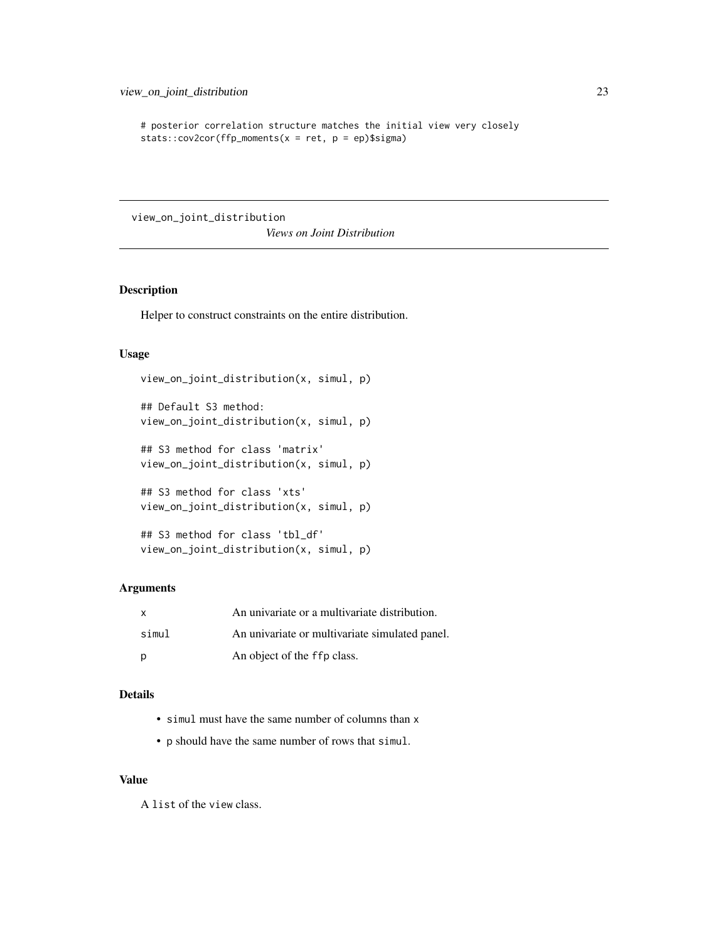```
# posterior correlation structure matches the initial view very closely
stats::cov2cor(ffp_moments(x = ret, p = ep)\
```
view\_on\_joint\_distribution

*Views on Joint Distribution*

#### Description

Helper to construct constraints on the entire distribution.

#### Usage

```
view_on_joint_distribution(x, simul, p)
## Default S3 method:
```

```
view_on_joint_distribution(x, simul, p)
```

```
## S3 method for class 'matrix'
view_on_joint_distribution(x, simul, p)
```

```
## S3 method for class 'xts'
view_on_joint_distribution(x, simul, p)
```

```
## S3 method for class 'tbl_df'
view_on_joint_distribution(x, simul, p)
```
#### Arguments

| $\mathsf{x}$ | An univariate or a multivariate distribution.  |
|--------------|------------------------------------------------|
| simul        | An univariate or multivariate simulated panel. |
| p            | An object of the ffp class.                    |

#### Details

- simul must have the same number of columns than x
- p should have the same number of rows that simul.

#### Value

A list of the view class.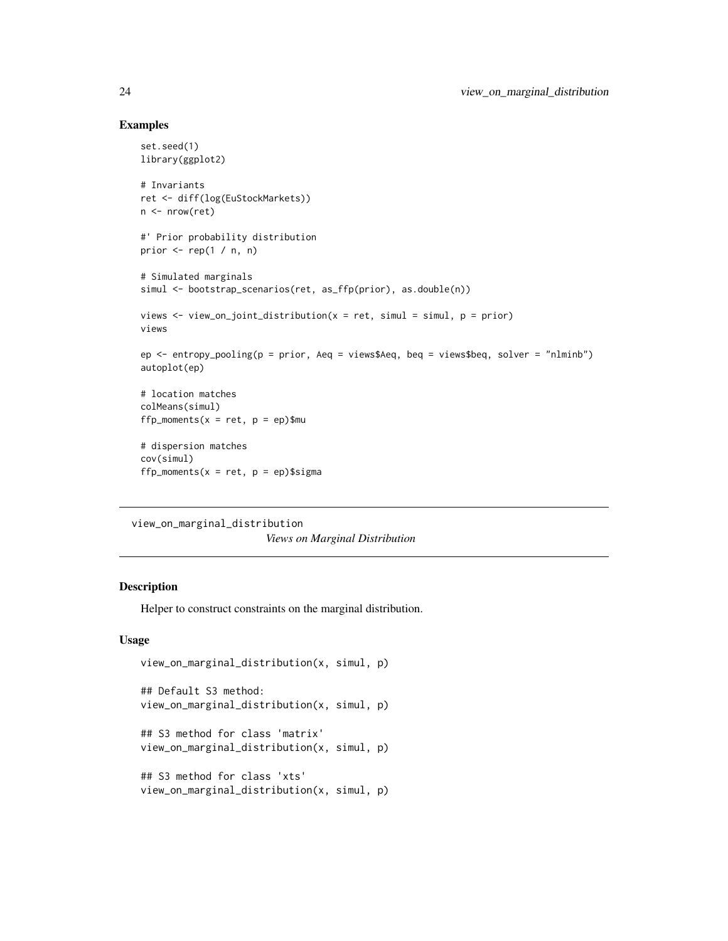#### Examples

```
set.seed(1)
library(ggplot2)
# Invariants
ret <- diff(log(EuStockMarkets))
n <- nrow(ret)
#' Prior probability distribution
prior \leq rep(1 / n, n)
# Simulated marginals
simul <- bootstrap_scenarios(ret, as_ffp(prior), as.double(n))
views \leq view_on_joint_distribution(x = ret, simul = simul, p = prior)
views
ep <- entropy_pooling(p = prior, Aeq = views$Aeq, beq = views$beq, solver = "nlminb")
autoplot(ep)
# location matches
colMeans(simul)
ffp_moments(x = ret, p = ep)$mu
# dispersion matches
cov(simul)
ffp_moments(x = ret, p = ep)$sigma
```

```
view_on_marginal_distribution
```
*Views on Marginal Distribution*

#### Description

Helper to construct constraints on the marginal distribution.

```
view_on_marginal_distribution(x, simul, p)
## Default S3 method:
view_on_marginal_distribution(x, simul, p)
## S3 method for class 'matrix'
view_on_marginal_distribution(x, simul, p)
## S3 method for class 'xts'
view_on_marginal_distribution(x, simul, p)
```
<span id="page-23-0"></span>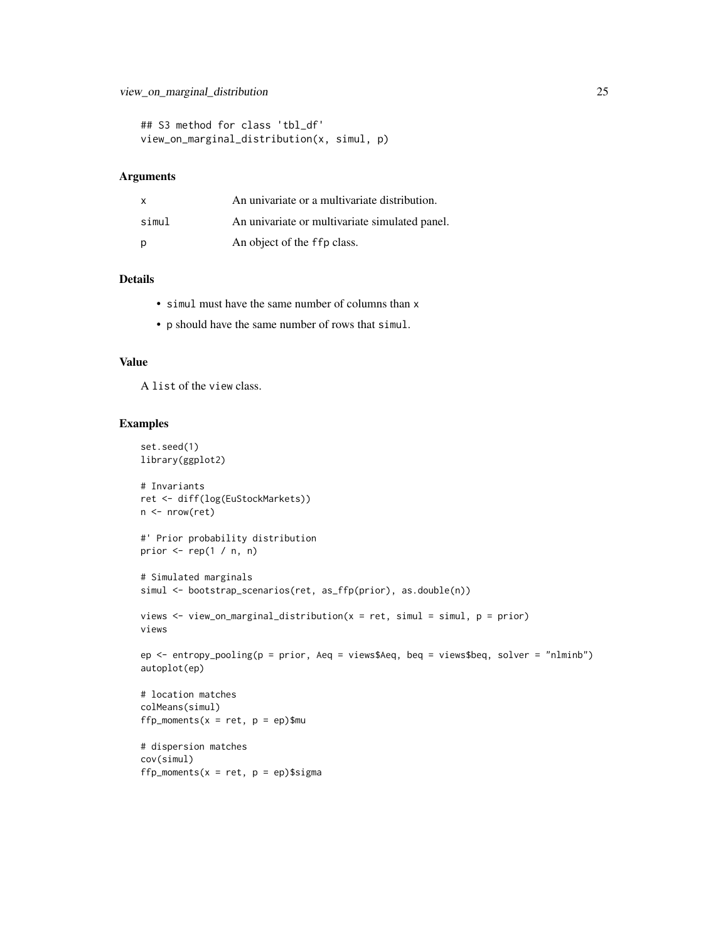```
## S3 method for class 'tbl_df'
view_on_marginal_distribution(x, simul, p)
```

| X     | An univariate or a multivariate distribution.  |
|-------|------------------------------------------------|
| simul | An univariate or multivariate simulated panel. |
| p     | An object of the ffp class.                    |

#### Details

- simul must have the same number of columns than x
- p should have the same number of rows that simul.

#### Value

A list of the view class.

```
set.seed(1)
library(ggplot2)
# Invariants
ret <- diff(log(EuStockMarkets))
n <- nrow(ret)
#' Prior probability distribution
prior \leq rep(1 / n, n)
# Simulated marginals
simul <- bootstrap_scenarios(ret, as_ffp(prior), as.double(n))
views \leq view_on_marginal_distribution(x = ret, simul = simul, p = prior)
views
ep <- entropy_pooling(p = prior, Aeq = views$Aeq, beq = views$beq, solver = "nlminb")
autoplot(ep)
# location matches
colMeans(simul)
ffp_moments(x = ret, p = ep)$mu
# dispersion matches
cov(simul)
ffp_moments(x = ret, p = ep)$sigma
```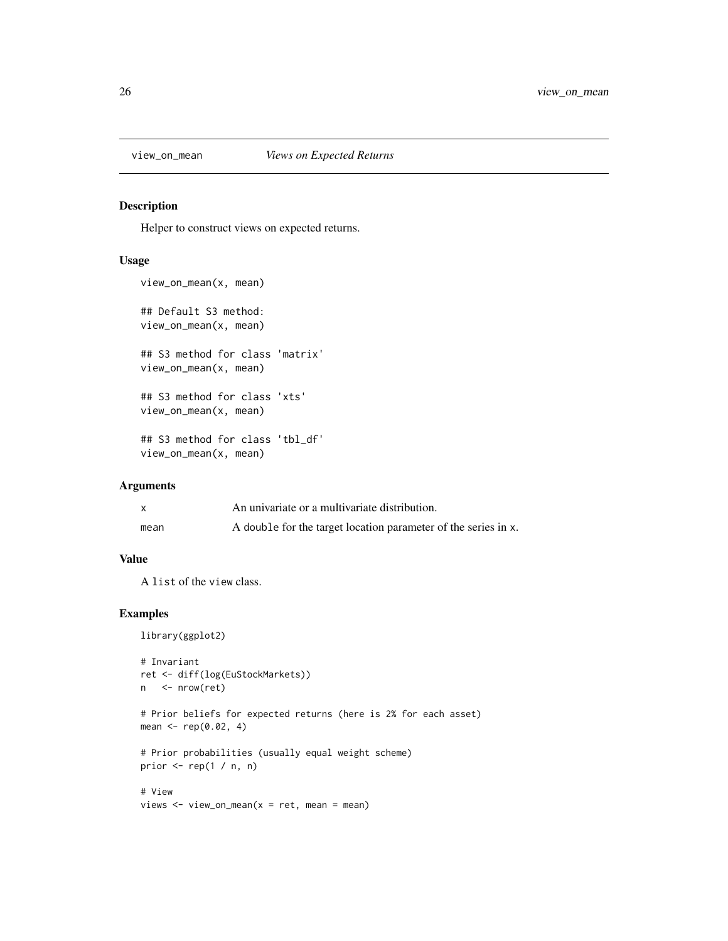<span id="page-25-0"></span>

#### Description

Helper to construct views on expected returns.

#### Usage

```
view_on_mean(x, mean)
## Default S3 method:
view_on_mean(x, mean)
## S3 method for class 'matrix'
view_on_mean(x, mean)
## S3 method for class 'xts'
view_on_mean(x, mean)
## S3 method for class 'tbl_df'
view_on_mean(x, mean)
```
#### Arguments

|      | An univariate or a multivariate distribution.                  |
|------|----------------------------------------------------------------|
| mean | A double for the target location parameter of the series in x. |

#### Value

A list of the view class.

```
library(ggplot2)
```

```
# Invariant
ret <- diff(log(EuStockMarkets))
n <- nrow(ret)
# Prior beliefs for expected returns (here is 2% for each asset)
mean <- rep(0.02, 4)
# Prior probabilities (usually equal weight scheme)
prior \leq- rep(1 / n, n)
# View
views \le view_on_mean(x = ret, mean = mean)
```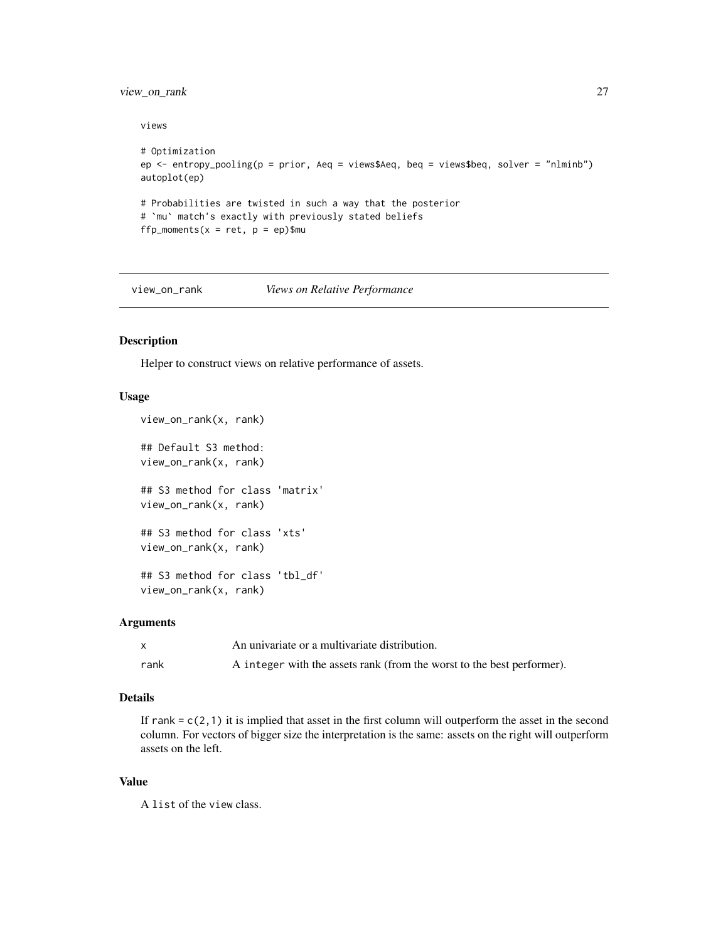#### <span id="page-26-0"></span>view\_on\_rank 27

views

```
# Optimization
ep <- entropy_pooling(p = prior, Aeq = views$Aeq, beq = views$beq, solver = "nlminb")
autoplot(ep)
# Probabilities are twisted in such a way that the posterior
# `mu` match's exactly with previously stated beliefs
ffp_moments(x = ret, p = ep)$mu
```
view\_on\_rank *Views on Relative Performance*

#### Description

Helper to construct views on relative performance of assets.

#### Usage

```
view_on_rank(x, rank)
## Default S3 method:
view_on_rank(x, rank)
## S3 method for class 'matrix'
view_on_rank(x, rank)
## S3 method for class 'xts'
view_on_rank(x, rank)
## S3 method for class 'tbl_df'
view_on_rank(x, rank)
```
#### Arguments

|      | An univariate or a multivariate distribution.                          |
|------|------------------------------------------------------------------------|
| rank | A integer with the assets rank (from the worst to the best performer). |

#### Details

If rank =  $c(2,1)$  it is implied that asset in the first column will outperform the asset in the second column. For vectors of bigger size the interpretation is the same: assets on the right will outperform assets on the left.

#### Value

A list of the view class.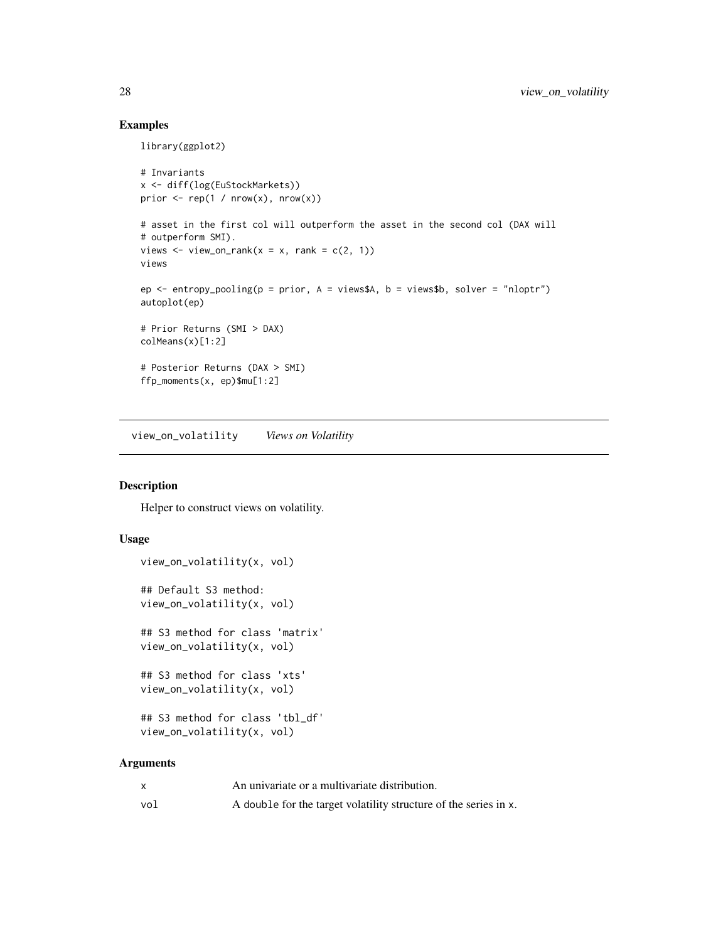#### Examples

library(ggplot2)

```
# Invariants
x <- diff(log(EuStockMarkets))
prior \leq rep(1 / nrow(x), nrow(x))
# asset in the first col will outperform the asset in the second col (DAX will
# outperform SMI).
views \le view_on_rank(x = x, rank = c(2, 1))
views
ep <- entropy_pooling(p = prior, A = views$A, b = views$b, solver = "nloptr")
autoplot(ep)
# Prior Returns (SMI > DAX)
colMeans(x)[1:2]# Posterior Returns (DAX > SMI)
ffp_moments(x, ep)$mu[1:2]
```
view\_on\_volatility *Views on Volatility*

#### Description

Helper to construct views on volatility.

#### Usage

```
view_on_volatility(x, vol)
## Default S3 method:
view_on_volatility(x, vol)
## S3 method for class 'matrix'
view_on_volatility(x, vol)
## S3 method for class 'xts'
view_on_volatility(x, vol)
## S3 method for class 'tbl_df'
view_on_volatility(x, vol)
```
#### Arguments

|     | An univariate or a multivariate distribution.                    |
|-----|------------------------------------------------------------------|
| vol | A double for the target volatility structure of the series in x. |

<span id="page-27-0"></span>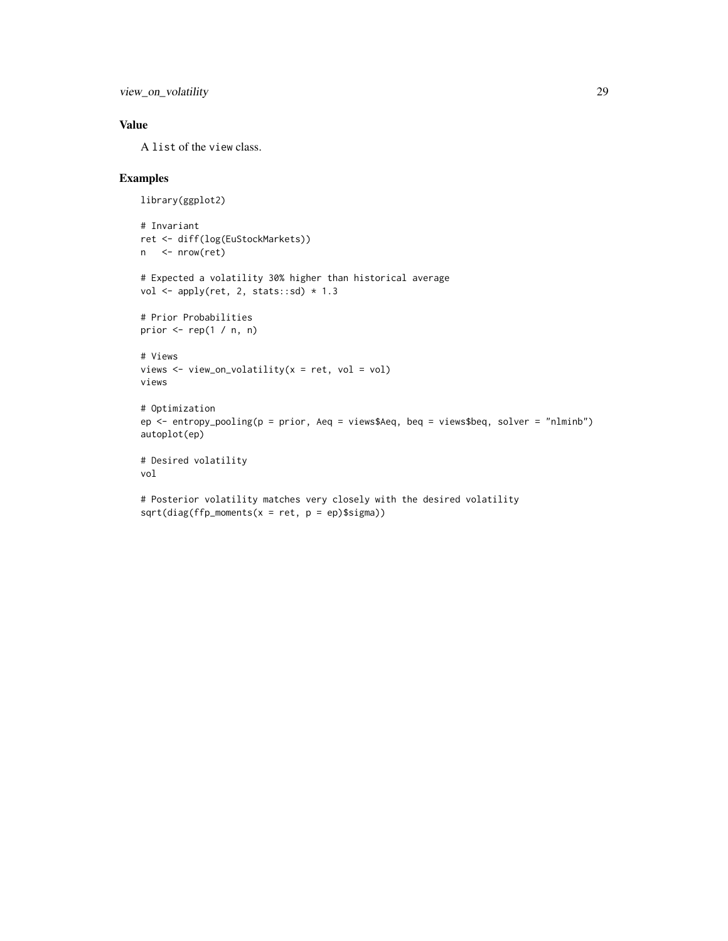view\_on\_volatility 29

#### Value

A list of the view class.

```
library(ggplot2)
# Invariant
ret <- diff(log(EuStockMarkets))
n <- nrow(ret)
# Expected a volatility 30% higher than historical average
vol \leq apply(ret, 2, stats::sd) * 1.3
# Prior Probabilities
prior \leq rep(1 / n, n)
# Views
views <- view_on_volatility(x = ret, vol = vol)
views
# Optimization
ep <- entropy_pooling(p = prior, Aeq = views$Aeq, beq = views$beq, solver = "nlminb")
autoplot(ep)
# Desired volatility
vol
# Posterior volatility matches very closely with the desired volatility
sqrt(diag(ffp_moments(x = ret, p = ep)\$sigma))
```